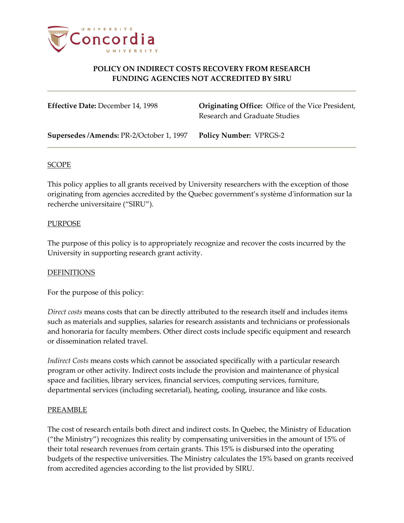

# **POLICY ON INDIRECT COSTS RECOVERY FROM RESEARCH FUNDING AGENCIES NOT ACCREDITED BY SIRU**

**Effective Date:** December 14, 1998 **Originating Office:** Office of the Vice President, Research and Graduate Studies

**Supersedes /Amends:** PR-2/October 1, 1997 **Policy Number:** VPRGS-2

### SCOPE

This policy applies to all grants received by University researchers with the exception of those originating from agencies accredited by the Quebec government's système d'information sur la recherche universitaire ("SIRU").

# **PURPOSE**

The purpose of this policy is to appropriately recognize and recover the costs incurred by the University in supporting research grant activity.

# **DEFINITIONS**

For the purpose of this policy:

*Direct costs* means costs that can be directly attributed to the research itself and includes items such as materials and supplies, salaries for research assistants and technicians or professionals and honoraria for faculty members. Other direct costs include specific equipment and research or dissemination related travel.

*Indirect Costs* means costs which cannot be associated specifically with a particular research program or other activity. Indirect costs include the provision and maintenance of physical space and facilities, library services, financial services, computing services, furniture, departmental services (including secretarial), heating, cooling, insurance and like costs.

#### PREAMBLE

The cost of research entails both direct and indirect costs. In Quebec, the Ministry of Education ("the Ministry") recognizes this reality by compensating universities in the amount of 15% of their total research revenues from certain grants. This 15% is disbursed into the operating budgets of the respective universities. The Ministry calculates the 15% based on grants received from accredited agencies according to the list provided by SIRU.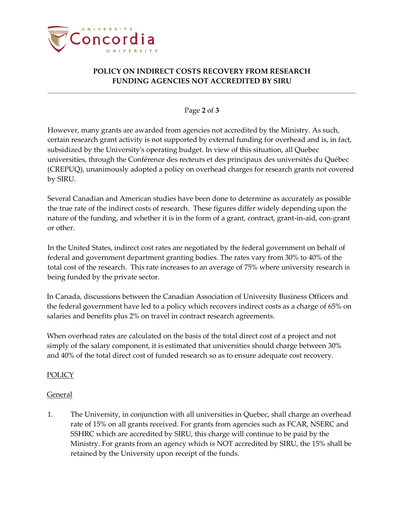

# **POLICY ON INDIRECT COSTS RECOVERY FROM RESEARCH FUNDING AGENCIES NOT ACCREDITED BY SIRU**

# Page **2** of **3**

However, many grants are awarded from agencies not accredited by the Ministry. As such, certain research grant activity is not supported by external funding for overhead and is, in fact, subsidized by the University's operating budget. In view of this situation, all Quebec universities, through the Conférence des recteurs et des principaux des universités du Québec (CREPUQ), unanimously adopted a policy on overhead charges for research grants not covered by SIRU.

Several Canadian and American studies have been done to determine as accurately as possible the true rate of the indirect costs of research. These figures differ widely depending upon the nature of the funding, and whether it is in the form of a grant, contract, grant-in-aid, con-grant or other.

In the United States, indirect cost rates are negotiated by the federal government on behalf of federal and government department granting bodies. The rates vary from 30% to 40% of the total cost of the research. This rate increases to an average of 75% where university research is being funded by the private sector.

In Canada, discussions between the Canadian Association of University Business Officers and the federal government have led to a policy which recovers indirect costs as a charge of 65% on salaries and benefits plus 2% on travel in contract research agreements.

When overhead rates are calculated on the basis of the total direct cost of a project and not simply of the salary component, it is estimated that universities should charge between 30% and 40% of the total direct cost of funded research so as to ensure adequate cost recovery.

# POLICY

# General

1. The University, in conjunction with all universities in Quebec, shall charge an overhead rate of 15% on all grants received. For grants from agencies such as FCAR, NSERC and SSHRC which are accredited by SIRU, this charge will continue to be paid by the Ministry. For grants from an agency which is NOT accredited by SIRU, the 15% shall be retained by the University upon receipt of the funds.